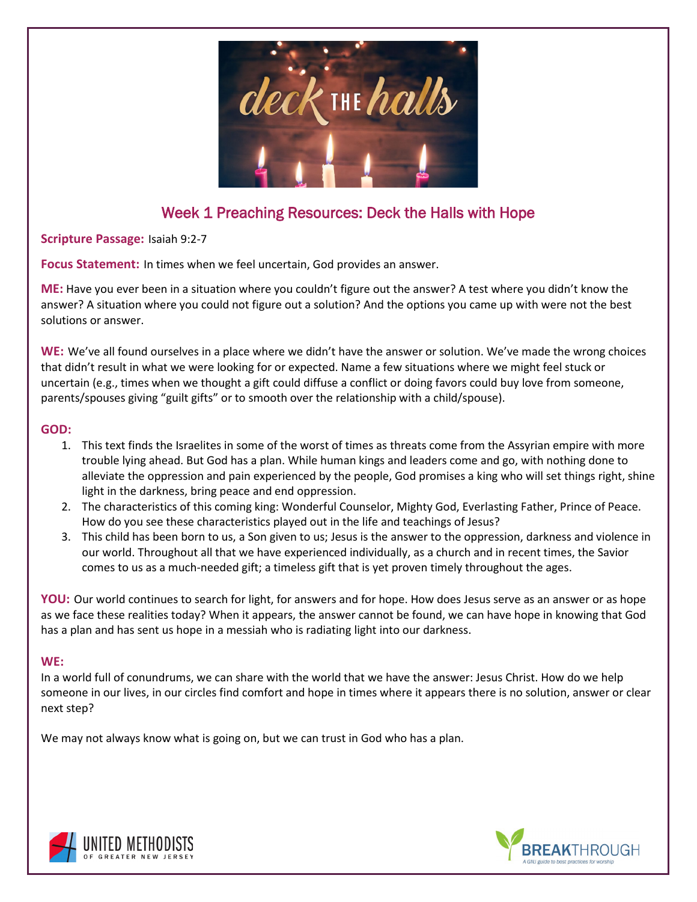

# Week 1 Preaching Resources: Deck the Halls with Hope

**Scripture Passage:** Isaiah 9:2-7

**Focus Statement:** In times when we feel uncertain, God provides an answer.

**ME:** Have you ever been in a situation where you couldn't figure out the answer? A test where you didn't know the answer? A situation where you could not figure out a solution? And the options you came up with were not the best solutions or answer.

**WE:** We've all found ourselves in a place where we didn't have the answer or solution. We've made the wrong choices that didn't result in what we were looking for or expected. Name a few situations where we might feel stuck or uncertain (e.g., times when we thought a gift could diffuse a conflict or doing favors could buy love from someone, parents/spouses giving "guilt gifts" or to smooth over the relationship with a child/spouse).

### **GOD:**

- 1. This text finds the Israelites in some of the worst of times as threats come from the Assyrian empire with more trouble lying ahead. But God has a plan. While human kings and leaders come and go, with nothing done to alleviate the oppression and pain experienced by the people, God promises a king who will set things right, shine light in the darkness, bring peace and end oppression.
- 2. The characteristics of this coming king: Wonderful Counselor, Mighty God, Everlasting Father, Prince of Peace. How do you see these characteristics played out in the life and teachings of Jesus?
- 3. This child has been born to us, a Son given to us; Jesus is the answer to the oppression, darkness and violence in our world. Throughout all that we have experienced individually, as a church and in recent times, the Savior comes to us as a much-needed gift; a timeless gift that is yet proven timely throughout the ages.

**YOU:** Our world continues to search for light, for answers and for hope. How does Jesus serve as an answer or as hope as we face these realities today? When it appears, the answer cannot be found, we can have hope in knowing that God has a plan and has sent us hope in a messiah who is radiating light into our darkness.

### **WE:**

In a world full of conundrums, we can share with the world that we have the answer: Jesus Christ. How do we help someone in our lives, in our circles find comfort and hope in times where it appears there is no solution, answer or clear next step?

We may not always know what is going on, but we can trust in God who has a plan.



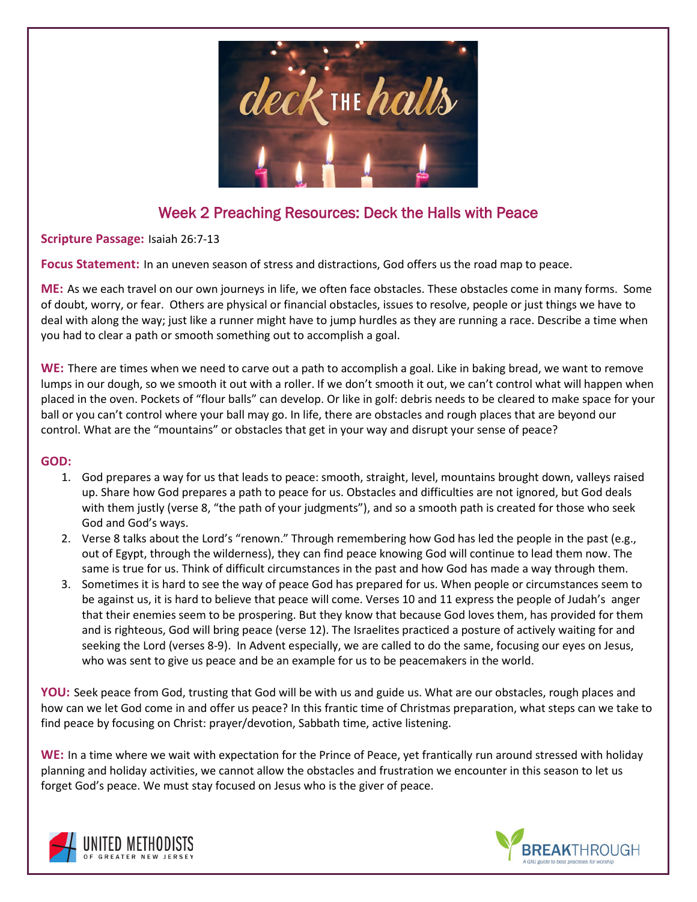

# Week 2 Preaching Resources: Deck the Halls with Peace

**Scripture Passage:** Isaiah 26:7-13

**Focus Statement:** In an uneven season of stress and distractions, God offers us the road map to peace.

**ME:** As we each travel on our own journeys in life, we often face obstacles. These obstacles come in many forms. Some of doubt, worry, or fear. Others are physical or financial obstacles, issues to resolve, people or just things we have to deal with along the way; just like a runner might have to jump hurdles as they are running a race. Describe a time when you had to clear a path or smooth something out to accomplish a goal.

**WE:** There are times when we need to carve out a path to accomplish a goal. Like in baking bread, we want to remove lumps in our dough, so we smooth it out with a roller. If we don't smooth it out, we can't control what will happen when placed in the oven. Pockets of "flour balls" can develop. Or like in golf: debris needs to be cleared to make space for your ball or you can't control where your ball may go. In life, there are obstacles and rough places that are beyond our control. What are the "mountains" or obstacles that get in your way and disrupt your sense of peace?

### **GOD:**

- 1. God prepares a way for us that leads to peace: smooth, straight, level, mountains brought down, valleys raised up. Share how God prepares a path to peace for us. Obstacles and difficulties are not ignored, but God deals with them justly (verse 8, "the path of your judgments"), and so a smooth path is created for those who seek God and God's ways.
- 2. Verse 8 talks about the Lord's "renown." Through remembering how God has led the people in the past (e.g., out of Egypt, through the wilderness), they can find peace knowing God will continue to lead them now. The same is true for us. Think of difficult circumstances in the past and how God has made a way through them.
- 3. Sometimes it is hard to see the way of peace God has prepared for us. When people or circumstances seem to be against us, it is hard to believe that peace will come. Verses 10 and 11 express the people of Judah's anger that their enemies seem to be prospering. But they know that because God loves them, has provided for them and is righteous, God will bring peace (verse 12). The Israelites practiced a posture of actively waiting for and seeking the Lord (verses 8-9). In Advent especially, we are called to do the same, focusing our eyes on Jesus, who was sent to give us peace and be an example for us to be peacemakers in the world.

**YOU:** Seek peace from God, trusting that God will be with us and guide us. What are our obstacles, rough places and how can we let God come in and offer us peace? In this frantic time of Christmas preparation, what steps can we take to find peace by focusing on Christ: prayer/devotion, Sabbath time, active listening.

**WE:** In a time where we wait with expectation for the Prince of Peace, yet frantically run around stressed with holiday planning and holiday activities, we cannot allow the obstacles and frustration we encounter in this season to let us forget God's peace. We must stay focused on Jesus who is the giver of peace.



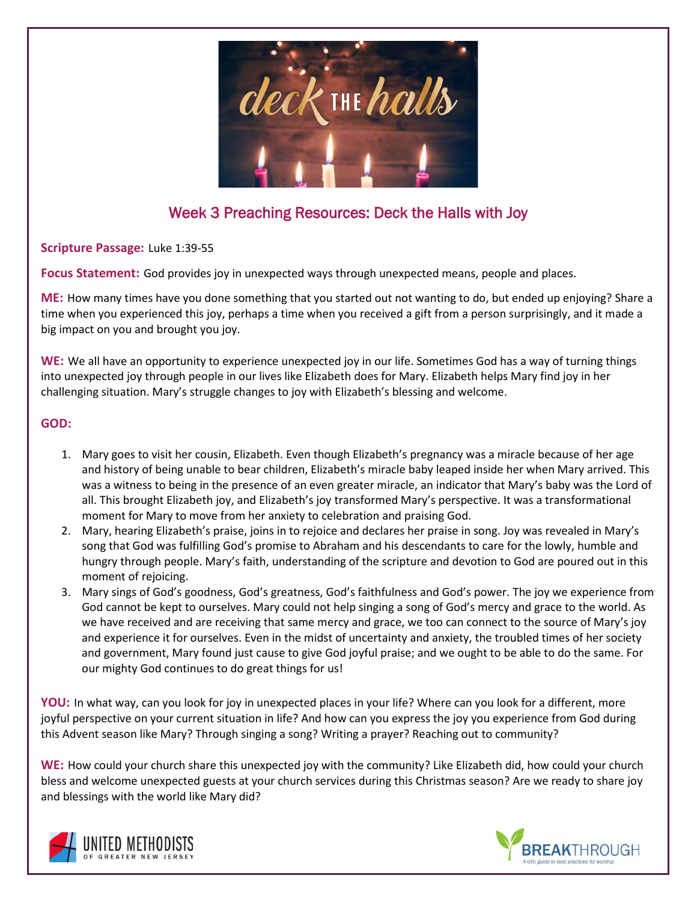

# Week 3 Preaching Resources: Deck the Halls with Joy

**Scripture Passage:** Luke 1:39-55

**Focus Statement:** God provides joy in unexpected ways through unexpected means, people and places.

**ME:** How many times have you done something that you started out not wanting to do, but ended up enjoying? Share a time when you experienced this joy, perhaps a time when you received a gift from a person surprisingly, and it made a big impact on you and brought you joy.

**WE:** We all have an opportunity to experience unexpected joy in our life. Sometimes God has a way of turning things into unexpected joy through people in our lives like Elizabeth does for Mary. Elizabeth helps Mary find joy in her challenging situation. Mary's struggle changes to joy with Elizabeth's blessing and welcome.

### **GOD:**

- 1. Mary goes to visit her cousin, Elizabeth. Even though Elizabeth's pregnancy was a miracle because of her age and history of being unable to bear children, Elizabeth's miracle baby leaped inside her when Mary arrived. This was a witness to being in the presence of an even greater miracle, an indicator that Mary's baby was the Lord of all. This brought Elizabeth joy, and Elizabeth's joy transformed Mary's perspective. It was a transformational moment for Mary to move from her anxiety to celebration and praising God.
- 2. Mary, hearing Elizabeth's praise, joins in to rejoice and declares her praise in song. Joy was revealed in Mary's song that God was fulfilling God's promise to Abraham and his descendants to care for the lowly, humble and hungry through people. Mary's faith, understanding of the scripture and devotion to God are poured out in this moment of rejoicing.
- 3. Mary sings of God's goodness, God's greatness, God's faithfulness and God's power. The joy we experience from God cannot be kept to ourselves. Mary could not help singing a song of God's mercy and grace to the world. As we have received and are receiving that same mercy and grace, we too can connect to the source of Mary's joy and experience it for ourselves. Even in the midst of uncertainty and anxiety, the troubled times of her society and government, Mary found just cause to give God joyful praise; and we ought to be able to do the same. For our mighty God continues to do great things for us!

**YOU:** In what way, can you look for joy in unexpected places in your life? Where can you look for a different, more joyful perspective on your current situation in life? And how can you express the joy you experience from God during this Advent season like Mary? Through singing a song? Writing a prayer? Reaching out to community?

**WE:** How could your church share this unexpected joy with the community? Like Elizabeth did, how could your church bless and welcome unexpected guests at your church services during this Christmas season? Are we ready to share joy and blessings with the world like Mary did?



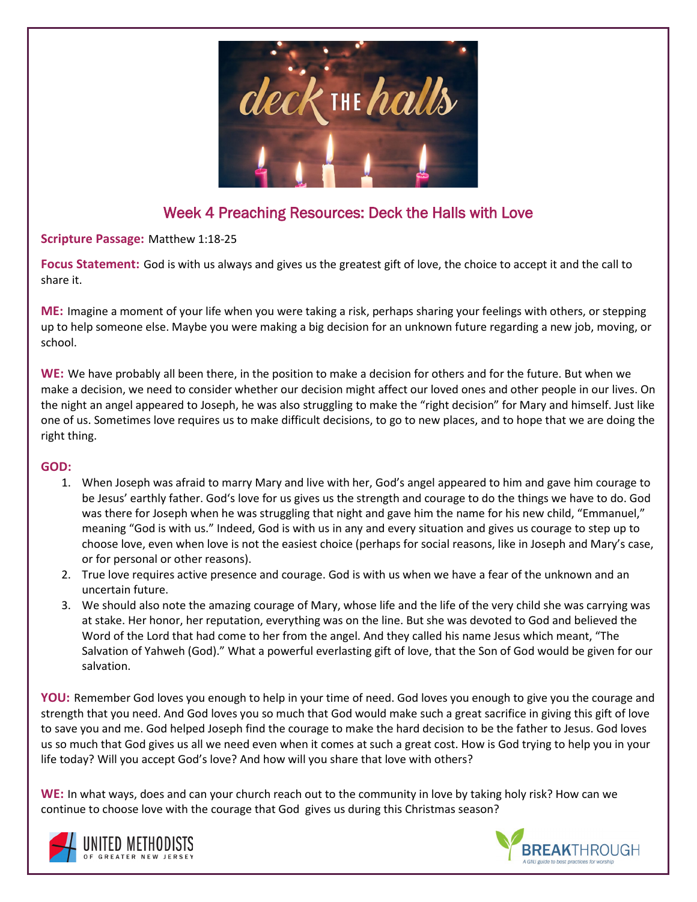

# Week 4 Preaching Resources: Deck the Halls with Love

### **Scripture Passage:** Matthew 1:18-25

**Focus Statement:** God is with us always and gives us the greatest gift of love, the choice to accept it and the call to share it.

**ME:** Imagine a moment of your life when you were taking a risk, perhaps sharing your feelings with others, or stepping up to help someone else. Maybe you were making a big decision for an unknown future regarding a new job, moving, or school.

**WE:** We have probably all been there, in the position to make a decision for others and for the future. But when we make a decision, we need to consider whether our decision might affect our loved ones and other people in our lives. On the night an angel appeared to Joseph, he was also struggling to make the "right decision" for Mary and himself. Just like one of us. Sometimes love requires us to make difficult decisions, to go to new places, and to hope that we are doing the right thing.

### **GOD:**

- 1. When Joseph was afraid to marry Mary and live with her, God's angel appeared to him and gave him courage to be Jesus' earthly father. God's love for us gives us the strength and courage to do the things we have to do. God was there for Joseph when he was struggling that night and gave him the name for his new child, "Emmanuel," meaning "God is with us." Indeed, God is with us in any and every situation and gives us courage to step up to choose love, even when love is not the easiest choice (perhaps for social reasons, like in Joseph and Mary's case, or for personal or other reasons).
- 2. True love requires active presence and courage. God is with us when we have a fear of the unknown and an uncertain future.
- 3. We should also note the amazing courage of Mary, whose life and the life of the very child she was carrying was at stake. Her honor, her reputation, everything was on the line. But she was devoted to God and believed the Word of the Lord that had come to her from the angel. And they called his name Jesus which meant, "The Salvation of Yahweh (God)." What a powerful everlasting gift of love, that the Son of God would be given for our salvation.

**YOU:** Remember God loves you enough to help in your time of need. God loves you enough to give you the courage and strength that you need. And God loves you so much that God would make such a great sacrifice in giving this gift of love to save you and me. God helped Joseph find the courage to make the hard decision to be the father to Jesus. God loves us so much that God gives us all we need even when it comes at such a great cost. How is God trying to help you in your life today? Will you accept God's love? And how will you share that love with others?

**WE:** In what ways, does and can your church reach out to the community in love by taking holy risk? How can we continue to choose love with the courage that God gives us during this Christmas season?



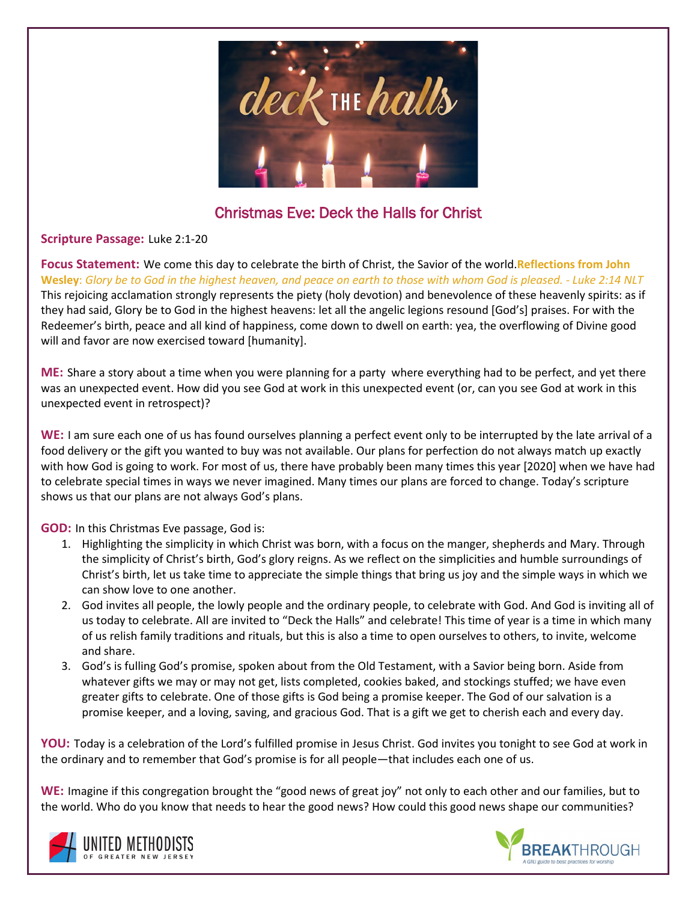

## Christmas Eve: Deck the Halls for Christ

### **Scripture Passage:** Luke 2:1-20

**Focus Statement:** We come this day to celebrate the birth of Christ, the Savior of the world.**Reflections from John Wesley**: *Glory be to God in the highest heaven, and peace on earth to those with whom God is pleased. - Luke 2:14 NLT*  This rejoicing acclamation strongly represents the piety (holy devotion) and benevolence of these heavenly spirits: as if they had said, Glory be to God in the highest heavens: let all the angelic legions resound [God's] praises. For with the Redeemer's birth, peace and all kind of happiness, come down to dwell on earth: yea, the overflowing of Divine good will and favor are now exercised toward [humanity].

**ME:** Share a story about a time when you were planning for a party where everything had to be perfect, and yet there was an unexpected event. How did you see God at work in this unexpected event (or, can you see God at work in this unexpected event in retrospect)?

**WE:** I am sure each one of us has found ourselves planning a perfect event only to be interrupted by the late arrival of a food delivery or the gift you wanted to buy was not available. Our plans for perfection do not always match up exactly with how God is going to work. For most of us, there have probably been many times this year [2020] when we have had to celebrate special times in ways we never imagined. Many times our plans are forced to change. Today's scripture shows us that our plans are not always God's plans.

**GOD:** In this Christmas Eve passage, God is:

- 1. Highlighting the simplicity in which Christ was born, with a focus on the manger, shepherds and Mary. Through the simplicity of Christ's birth, God's glory reigns. As we reflect on the simplicities and humble surroundings of Christ's birth, let us take time to appreciate the simple things that bring us joy and the simple ways in which we can show love to one another.
- 2. God invites all people, the lowly people and the ordinary people, to celebrate with God. And God is inviting all of us today to celebrate. All are invited to "Deck the Halls" and celebrate! This time of year is a time in which many of us relish family traditions and rituals, but this is also a time to open ourselves to others, to invite, welcome and share.
- 3. God's is fulling God's promise, spoken about from the Old Testament, with a Savior being born. Aside from whatever gifts we may or may not get, lists completed, cookies baked, and stockings stuffed; we have even greater gifts to celebrate. One of those gifts is God being a promise keeper. The God of our salvation is a promise keeper, and a loving, saving, and gracious God. That is a gift we get to cherish each and every day.

**YOU:** Today is a celebration of the Lord's fulfilled promise in Jesus Christ. God invites you tonight to see God at work in the ordinary and to remember that God's promise is for all people—that includes each one of us.

**WE:** Imagine if this congregation brought the "good news of great joy" not only to each other and our families, but to the world. Who do you know that needs to hear the good news? How could this good news shape our communities?



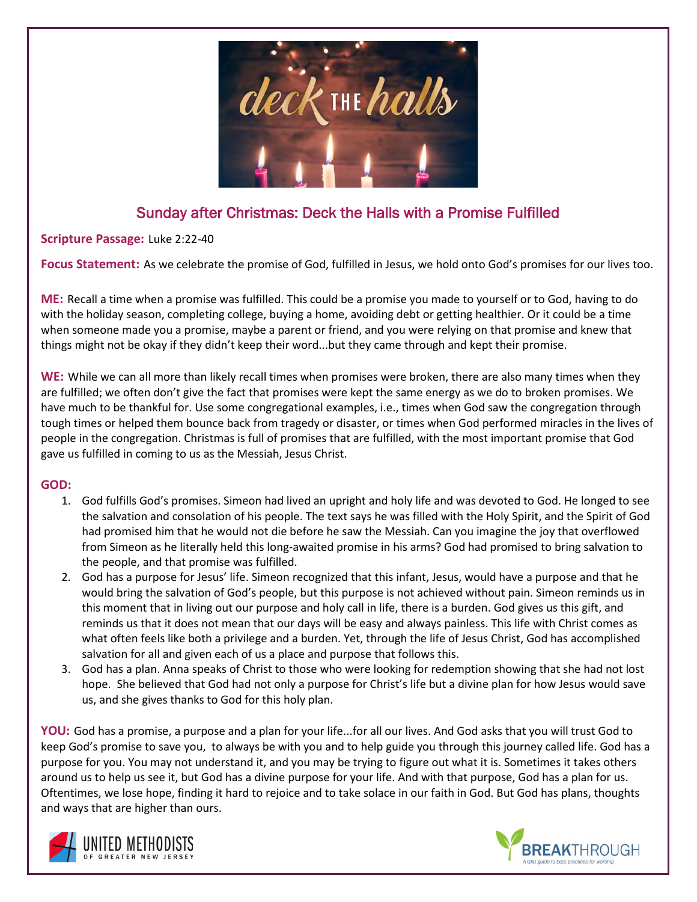

# Sunday after Christmas: Deck the Halls with a Promise Fulfilled

### **Scripture Passage:** Luke 2:22-40

**Focus Statement:** As we celebrate the promise of God, fulfilled in Jesus, we hold onto God's promises for our lives too.

**ME:** Recall a time when a promise was fulfilled. This could be a promise you made to yourself or to God, having to do with the holiday season, completing college, buying a home, avoiding debt or getting healthier. Or it could be a time when someone made you a promise, maybe a parent or friend, and you were relying on that promise and knew that things might not be okay if they didn't keep their word...but they came through and kept their promise.

**WE:** While we can all more than likely recall times when promises were broken, there are also many times when they are fulfilled; we often don't give the fact that promises were kept the same energy as we do to broken promises. We have much to be thankful for. Use some congregational examples, i.e., times when God saw the congregation through tough times or helped them bounce back from tragedy or disaster, or times when God performed miracles in the lives of people in the congregation. Christmas is full of promises that are fulfilled, with the most important promise that God gave us fulfilled in coming to us as the Messiah, Jesus Christ.

### **GOD:**

- 1. God fulfills God's promises. Simeon had lived an upright and holy life and was devoted to God. He longed to see the salvation and consolation of his people. The text says he was filled with the Holy Spirit, and the Spirit of God had promised him that he would not die before he saw the Messiah. Can you imagine the joy that overflowed from Simeon as he literally held this long-awaited promise in his arms? God had promised to bring salvation to the people, and that promise was fulfilled.
- 2. God has a purpose for Jesus' life. Simeon recognized that this infant, Jesus, would have a purpose and that he would bring the salvation of God's people, but this purpose is not achieved without pain. Simeon reminds us in this moment that in living out our purpose and holy call in life, there is a burden. God gives us this gift, and reminds us that it does not mean that our days will be easy and always painless. This life with Christ comes as what often feels like both a privilege and a burden. Yet, through the life of Jesus Christ, God has accomplished salvation for all and given each of us a place and purpose that follows this.
- 3. God has a plan. Anna speaks of Christ to those who were looking for redemption showing that she had not lost hope. She believed that God had not only a purpose for Christ's life but a divine plan for how Jesus would save us, and she gives thanks to God for this holy plan.

**YOU:** God has a promise, a purpose and a plan for your life...for all our lives. And God asks that you will trust God to keep God's promise to save you, to always be with you and to help guide you through this journey called life. God has a purpose for you. You may not understand it, and you may be trying to figure out what it is. Sometimes it takes others around us to help us see it, but God has a divine purpose for your life. And with that purpose, God has a plan for us. Oftentimes, we lose hope, finding it hard to rejoice and to take solace in our faith in God. But God has plans, thoughts and ways that are higher than ours.